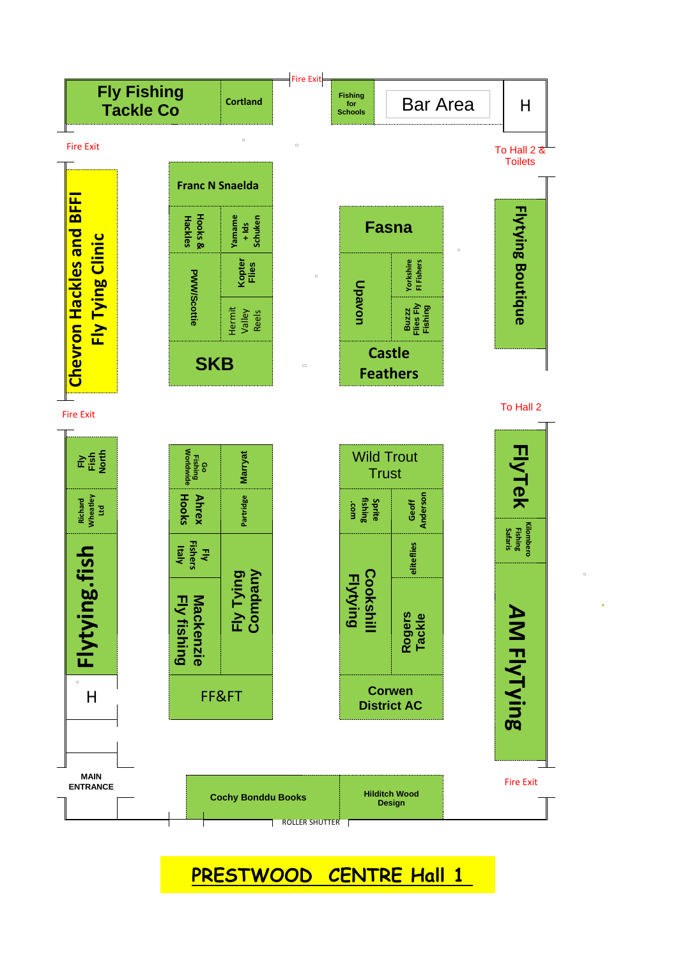

**PRESTWOOD CENTRE Hall 1**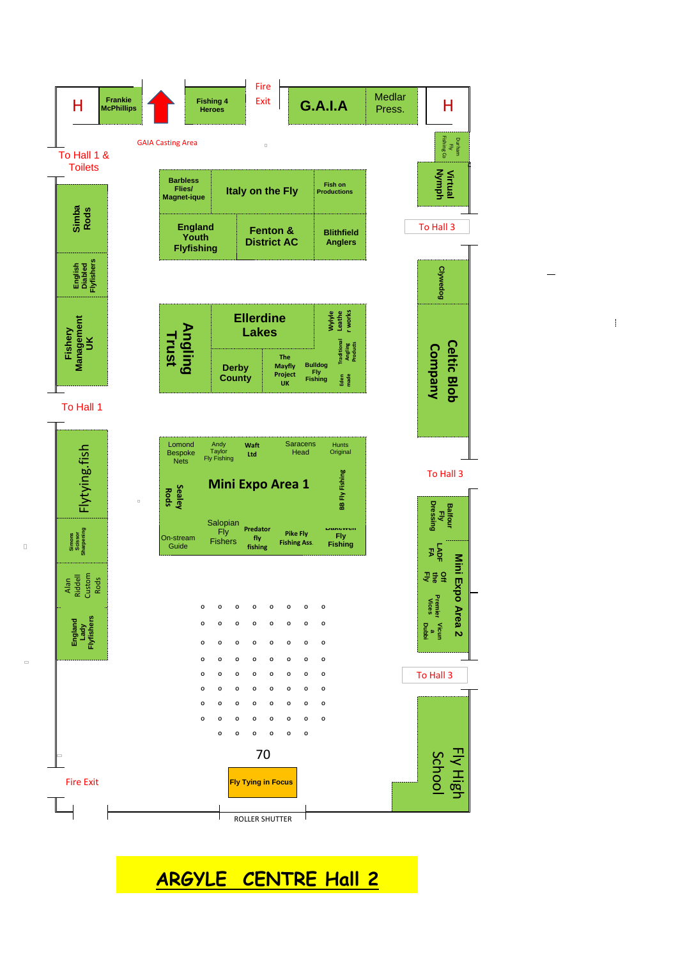

 $\mathbf{I}$ 

**ARGYLE CENTRE Hall 2**

 $\Box$ 

 $\begin{array}{c} \square \end{array}$